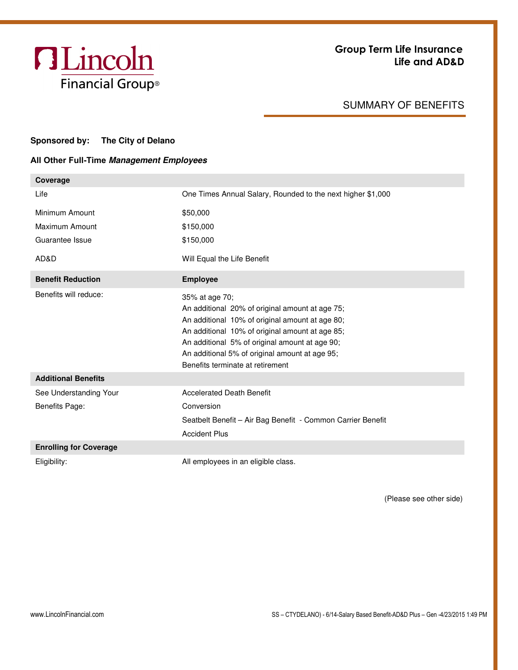

## SUMMARY OF BENEFITS

## **Sponsored by: The City of Delano**

## **All Other Full-Time Management Employees**

| Coverage                                 |                                                                                                                                                                                                                                                                                                                 |
|------------------------------------------|-----------------------------------------------------------------------------------------------------------------------------------------------------------------------------------------------------------------------------------------------------------------------------------------------------------------|
| Life                                     | One Times Annual Salary, Rounded to the next higher \$1,000                                                                                                                                                                                                                                                     |
| Minimum Amount                           | \$50,000                                                                                                                                                                                                                                                                                                        |
| Maximum Amount                           | \$150,000                                                                                                                                                                                                                                                                                                       |
| Guarantee Issue                          | \$150,000                                                                                                                                                                                                                                                                                                       |
| AD&D                                     | Will Equal the Life Benefit                                                                                                                                                                                                                                                                                     |
| <b>Benefit Reduction</b>                 | <b>Employee</b>                                                                                                                                                                                                                                                                                                 |
| Benefits will reduce:                    | 35% at age 70;<br>An additional 20% of original amount at age 75;<br>An additional 10% of original amount at age 80;<br>An additional 10% of original amount at age 85;<br>An additional 5% of original amount at age 90;<br>An additional 5% of original amount at age 95;<br>Benefits terminate at retirement |
| <b>Additional Benefits</b>               |                                                                                                                                                                                                                                                                                                                 |
| See Understanding Your<br>Benefits Page: | <b>Accelerated Death Benefit</b><br>Conversion<br>Seatbelt Benefit - Air Bag Benefit - Common Carrier Benefit<br><b>Accident Plus</b>                                                                                                                                                                           |
| <b>Enrolling for Coverage</b>            |                                                                                                                                                                                                                                                                                                                 |
| Eligibility:                             | All employees in an eligible class.                                                                                                                                                                                                                                                                             |

(Please see other side)